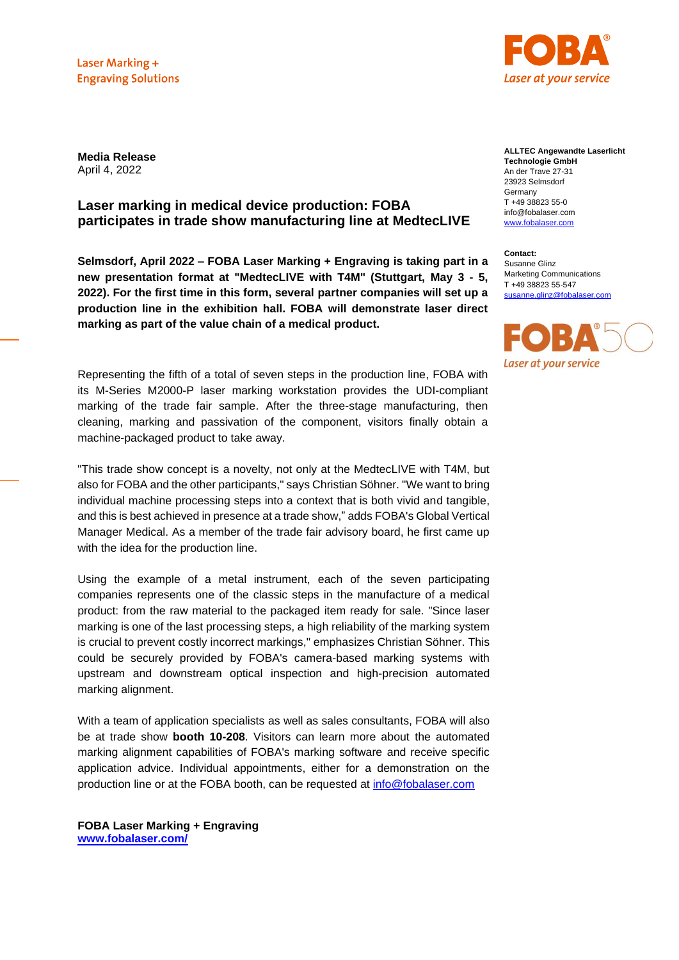Laser Marking + **Engraving Solutions** 



**Media Release** April 4, 2022

## **Laser marking in medical device production: FOBA participates in trade show manufacturing line at MedtecLIVE**

**Selmsdorf, April 2022 – FOBA Laser Marking + Engraving is taking part in a new presentation format at "MedtecLIVE with T4M" (Stuttgart, May 3 - 5, 2022). For the first time in this form, several partner companies will set up a production line in the exhibition hall. FOBA will demonstrate laser direct marking as part of the value chain of a medical product.**

Representing the fifth of a total of seven steps in the production line, FOBA with its M-Series M2000-P laser marking workstation provides the UDI-compliant marking of the trade fair sample. After the three-stage manufacturing, then cleaning, marking and passivation of the component, visitors finally obtain a machine-packaged product to take away.

"This trade show concept is a novelty, not only at the MedtecLIVE with T4M, but also for FOBA and the other participants," says Christian Söhner. "We want to bring individual machine processing steps into a context that is both vivid and tangible, and this is best achieved in presence at a trade show," adds FOBA's Global Vertical Manager Medical. As a member of the trade fair advisory board, he first came up with the idea for the production line.

Using the example of a metal instrument, each of the seven participating companies represents one of the classic steps in the manufacture of a medical product: from the raw material to the packaged item ready for sale. "Since laser marking is one of the last processing steps, a high reliability of the marking system is crucial to prevent costly incorrect markings," emphasizes Christian Söhner. This could be securely provided by FOBA's camera-based marking systems with upstream and downstream optical inspection and high-precision automated marking alignment.

With a team of application specialists as well as sales consultants, FOBA will also be at trade show **booth 10-208**. Visitors can learn more about the automated marking alignment capabilities of FOBA's marking software and receive specific application advice. Individual appointments, either for a demonstration on the production line or at the FOBA booth, can be requested at [info@fobalaser.com](mailto:info@fobalaser.com)

**FOBA Laser Marking + Engraving [www.fobalaser.com/](http://www.fobalaser.com/)**

**ALLTEC Angewandte Laserlicht Technologie GmbH** An der Trave 27-31 23923 Selmsdorf Germany T +49 38823 55-0 info@fobalaser.com [www.fobalaser.com](http://www.fobalaser.com/)

**Contact:** Susanne Glinz Marketing Communications T +49 38823 55-547 [susanne.glinz@fobalaser.com](mailto:susanne.glinz@fobalaser.com)

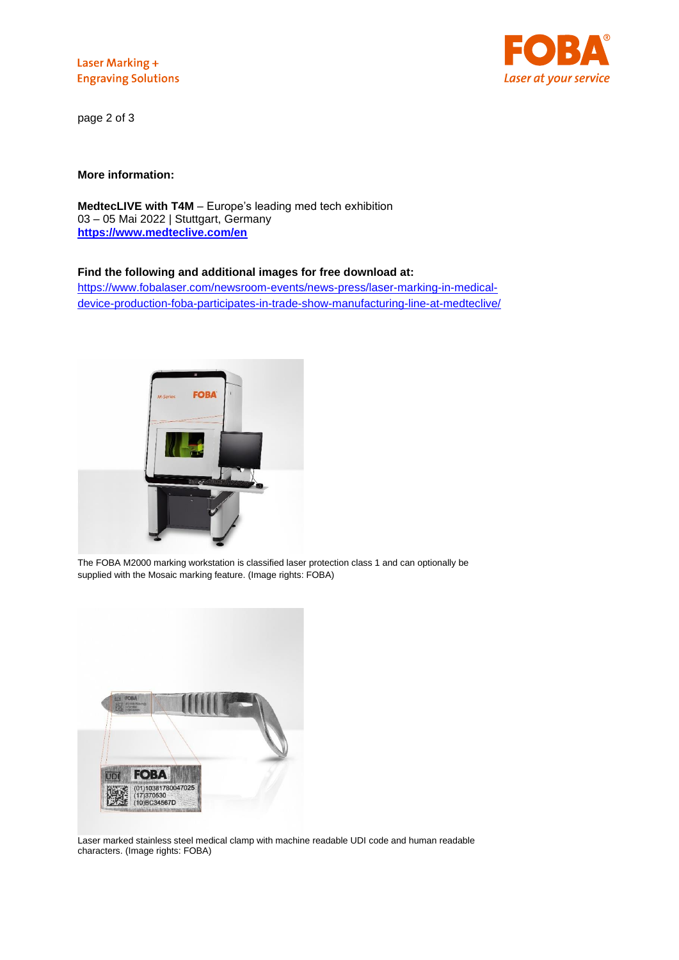Laser Marking + **Engraving Solutions** 



page 2 of 3

**More information:**

**MedtecLIVE with T4M** – Europe's leading med tech exhibition 03 – 05 Mai 2022 | Stuttgart, Germany **<https://www.medteclive.com/en>**

## **Find the following and additional images for free download at:**

[https://www.fobalaser.com/newsroom-events/news-press/laser-marking-in-medical](https://www.fobalaser.com/newsroom-events/news-press/laser-marking-in-medical-device-production-foba-participates-in-trade-show-manufacturing-line-at-medteclive/)[device-production-foba-participates-in-trade-show-manufacturing-line-at-medteclive/](https://www.fobalaser.com/newsroom-events/news-press/laser-marking-in-medical-device-production-foba-participates-in-trade-show-manufacturing-line-at-medteclive/)



The FOBA M2000 marking workstation is classified laser protection class 1 and can optionally be supplied with the Mosaic marking feature. (Image rights: FOBA)



Laser marked stainless steel medical clamp with machine readable UDI code and human readable characters. (Image rights: FOBA)